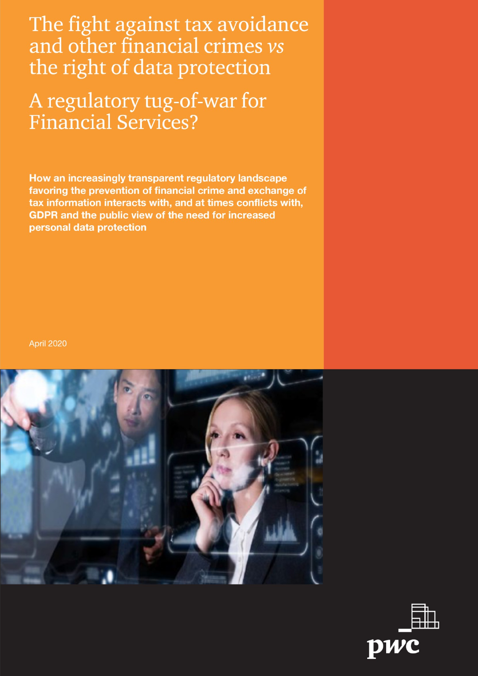The fight against tax avoidance and other financial crimes vs the right of data protection

A regulatory tug-of-war for **Financial Services?** 

How an increasingly transparent regulatory landscape favoring the prevention of financial crime and exchange of tax information interacts with, and at times conflicts with, **GDPR and the public view of the need for increased** personal data protection

**April 2020** 



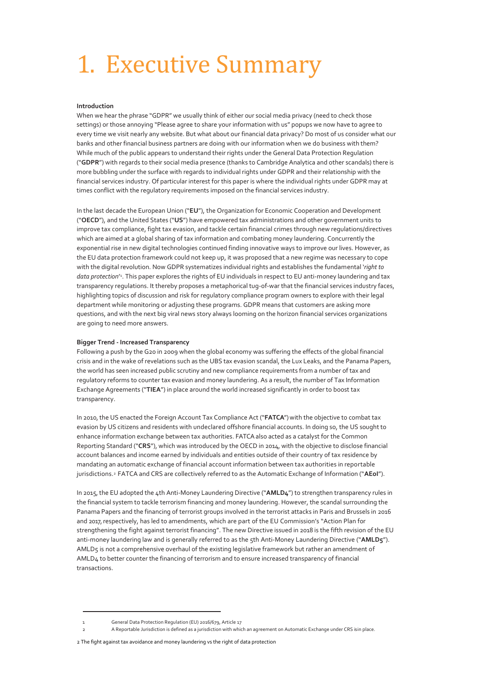# <span id="page-1-0"></span>1. Executive Summary

#### **Introduction**

When we hear the phrase "GDPR" we usually think of either our social media privacy (need to check those settings) or those annoying "Please agree to share your information with us" popups we now have to agree to every time we visit nearly any website. But what about our financial data privacy? Do most of us consider what our banks and other financial business partners are doing with our information when we do business with them? While much of the public appears to understand their rights under the General Data Protection Regulation ("**GDPR**") with regards to their social media presence (thanks to Cambridge Analytica and other scandals) there is more bubbling under the surface with regards to individual rights under GDPR and their relationship with the financial services industry. Of particular interest for this paper is where the individual rights under GDPR may at times conflict with the regulatory requirements imposed on the financial services industry.

In the last decade the European Union ("**EU**"), the Organization for Economic Cooperation and Development ("**OECD**"), and the United States ("**US**") have empowered tax administrations and other government units to improve tax compliance, fight tax evasion, and tackle certain financial crimes through new regulations/directives which are aimed at a global sharing of tax information and combating money laundering. Concurrently the exponential rise in new digital technologies continued finding innovative ways to improve our lives. However, as the EU data protection framework could not keep up, it was proposed that a new regime was necessary to cope with the digital revolution. Now GDPR systematizes individual rights and establishes the fundamental '*right to data protection*' 1 . This paper explores the rights of EU individuals in respect to EU anti-money laundering and tax transparency regulations. It thereby proposes a metaphorical tug-of-war that the financial services industry faces, highlighting topics of discussion and risk for regulatory compliance program owners to explore with their legal department while monitoring or adjusting these programs. GDPR means that customers are asking more questions, and with the next big viral news story always looming on the horizon financial services organizations are going to need more answers.

#### **Bigger Trend - Increased Transparency**

Following a push by the G20 in 2009 when the global economy was suffering the effects of the global financial crisis and in the wake of revelations such as the UBS tax evasion scandal, the Lux Leaks, and the Panama Papers, the world has seen increased public scrutiny and new compliance requirements from a number of tax and regulatory reforms to counter tax evasion and money laundering. As a result, the number of Tax Information Exchange Agreements ("**TIEA**") in place around the world increased significantly in order to boost tax transparency.

In 2010, the US enacted the Foreign Account Tax Compliance Act ("**FATCA**")with the objective to combat tax evasion by US citizens and residents with undeclared offshore financial accounts. In doing so, the US sought to enhance information exchange between tax authorities. FATCA also acted as a catalyst for the Common Reporting Standard ("**CRS**"), which was introduced by the OECD in 2014, with the objective to disclose financial account balances and income earned by individuals and entities outside of their country of tax residence by mandating an automatic exchange of financial account information between tax authorities in reportable jurisdictions. <sup>2</sup> FATCA and CRS are collectively referred to as the Automatic Exchange of Information ("**AEoI**").

In 2015, the EU adopted the 4th Anti-Money Laundering Directive ("**AMLD4**") to strengthen transparency rules in the financial system to tackle terrorism financing and money laundering. However, the scandal surrounding the Panama Papers and the financing of terrorist groups involved in the terrorist attacks in Paris and Brussels in 2016 and 2017, respectively, has led to amendments, which are part of the EU Commission's "Action Plan for strengthening the fight against terrorist financing". The new Directive issued in 2018 is the fifth revision of the EU anti-money laundering law and is generally referred to as the 5th Anti-Money Laundering Directive ("**AMLD5**"). AMLD5 is not a comprehensive overhaul of the existing legislative framework but rather an amendment of AMLD4 to better counter the financing of terrorism and to ensure increased transparency of financial transactions.

<sup>1</sup> General Data Protection Regulation (EU) 2016/679, Article 17

A Reportable Jurisdiction is defined as a jurisdiction with which an agreement on Automatic Exchange under CRS is in place.

<sup>2</sup> The fight against tax avoidance and money laundering vs the right of data protection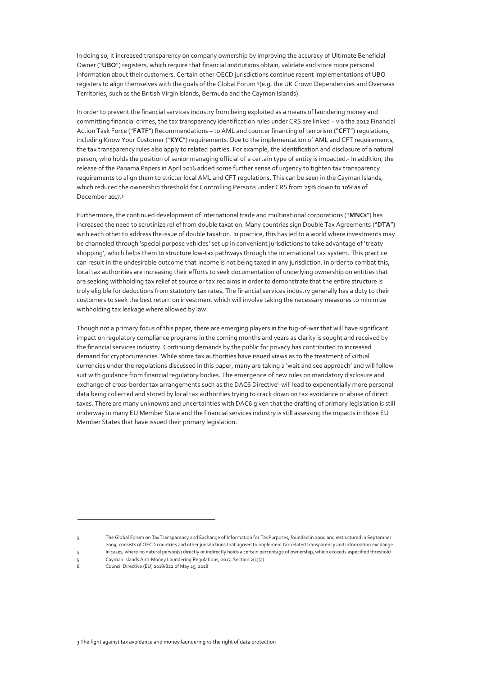In doing so, it increased transparency on company ownership by improving the accuracy of Ultimate Beneficial Owner ("**UBO**") registers, which require that financial institutions obtain, validate and store more personal information about their customers. Certain other OECD jurisdictions continue recent implementations of UBO registers to align themselves with the goals of the Global Forum <sup>3</sup> (e.g. the UK Crown Dependencies and Overseas Territories, such as the British Virgin Islands, Bermuda and the Cayman Islands).

In order to prevent the financial services industry from being exploited as a means of laundering money and committing financial crimes, the tax transparency identification rules under CRS are linked – via the 2012 Financial Action Task Force ("**FATF**") Recommendations – to AML and counter financing of terrorism ("**CFT**") regulations, including Know Your Customer ("**KYC**") requirements. Due to the implementation of AML and CFT requirements, the tax transparency rules also apply to related parties. For example, the identification and disclosure of a natural person, who holds the position of senior managing official of a certain type of entity is impacted.4 In addition, the release of the Panama Papers in April 2016 added some further sense of urgency to tighten tax transparency requirements to align them to stricter local AML and CFT regulations. This can be seen in the Cayman Islands, which reduced the ownership threshold for Controlling Persons under CRS from 25% down to 10%as of December 2017.<sup>5</sup>

Furthermore, the continued development of international trade and multinational corporations ("**MNCs**") has increased the need to scrutinize relief from double taxation. Many countries sign Double Tax Agreements ("**DTA**") with each other to address the issue of double taxation. In practice, this has led to a world where investments may be channeled through 'special purpose vehicles' set up in convenient jurisdictions to take advantage of 'treaty shopping', which helps them to structure low-tax pathways through the international tax system. This practice can result in the undesirable outcome that income is not being taxed in any jurisdiction. In order to combat this, local tax authorities are increasing their efforts to seek documentation of underlying ownership on entities that are seeking withholding tax relief at source or tax reclaims in order to demonstrate that the entire structure is truly eligible for deductions from statutory tax rates. The financial services industry generally has a duty to their customers to seek the best return on investment which will involve taking the necessary measures to minimize withholding tax leakage where allowed by law.

Though not a primary focus of this paper, there are emerging players in the tug-of-war that will have significant impact on regulatory compliance programs in the coming months and years as clarity is sought and received by the financial services industry. Continuing demands by the public for privacy has contributed to increased demand for cryptocurrencies. While some tax authorities have issued views as to the treatment of virtual currencies under the regulations discussed in this paper, many are taking a 'wait and see approach' and will follow suit with guidance from financial regulatory bodies. The emergence of new rules on mandatory disclosure and exchange of cross-border tax arrangements such as the DAC6 Directive<sup>6</sup> will lead to exponentially more personal data being collected and stored by local tax authorities trying to crack down on tax avoidance or abuse of direct taxes. There are many unknowns and uncertainties with DAC6 given that the drafting of primary legislation is still underway in many EU Member State and the financial services industry is still assessing the impacts in those EU Member States that have issued their primary legislation.

<sup>3</sup> The Global Forum on Tax Transparency and Exchange of Information for Tax Purposes, founded in 2000 and restructured in September 2009, consists of OECD countries and other jurisdictions that agreed to implement tax related transparency and information exchange

<sup>4</sup> In cases, where no natural person(s) directly or indirectly holds a certain percentage of ownership, which exceeds aspecified threshold

<sup>5</sup> Cayman Islands Anti-Money Laundering Regulations, 2017, Section 2(1)(a)<br>6 Council Directive (EU) 2018/822 of May 25, 2018 6 Council Directive (EU) 2018/822 of May 25, 2018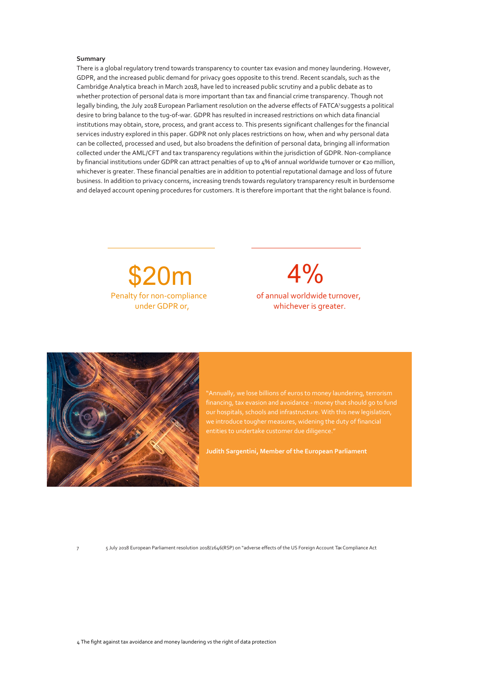#### **Summary**

There is a global regulatory trend towards transparency to counter tax evasion and money laundering. However, GDPR, and the increased public demand for privacy goes opposite to this trend. Recent scandals, such as the Cambridge Analytica breach in March 2018, have led to increased public scrutiny and a public debate as to whether protection of personal data is more important than tax and financial crime transparency. Though not legally binding, the July 2018 European Parliament resolution on the adverse effects of FATCA<sup>7</sup>suggests a political desire to bring balance to the tug-of-war. GDPR has resulted in increased restrictions on which data financial institutions may obtain, store, process, and grant access to. This presents significant challenges for the financial services industry explored in this paper. GDPR not only places restrictions on how, when and why personal data can be collected, processed and used, but also broadens the definition of personal data, bringing all information collected under the AML/CFT and tax transparency regulations within the jurisdiction of GDPR. Non-compliance by financial institutions under GDPR can attract penalties of up to 4% of annual worldwide turnover or €20 million, whichever is greater. These financial penalties are in addition to potential reputational damage and loss of future business. In addition to privacy concerns, increasing trends towards regulatory transparency result in burdensome and delayed account opening procedures for customers. It is therefore important that the right balance is found.

 $$20m$   $4\%$ 

Penalty for non-compliance of annual worldwide turnover, under GDPR or, whichever is greater.



"Annually, we lose billions of euros to money laundering, terrorism our hospitals, schools and infrastructure. With this new legislation, we introduce tougher measures, widening the duty of financial entities to undertake customer due diligence."

**Judith Sargentini, Member of the European Parliament** 

7 5 July 2018 European Parliament resolution 2018/2646(RSP) on "adverse effects of the US Foreign Account TaxCompliance Act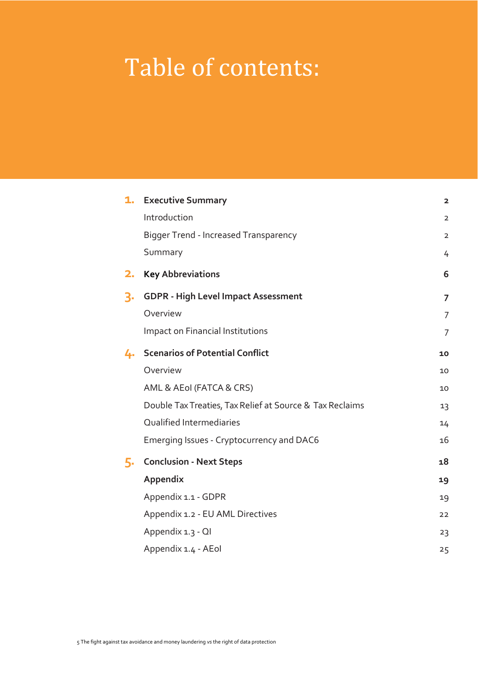# Table of contents:

| 1. | <b>Executive Summary</b>                                 | $\overline{\mathbf{2}}$ |
|----|----------------------------------------------------------|-------------------------|
|    | Introduction                                             | $\overline{2}$          |
|    | <b>Bigger Trend - Increased Transparency</b>             | $\overline{2}$          |
|    | Summary                                                  | 4                       |
| 2. | <b>Key Abbreviations</b>                                 | 6                       |
| З. | <b>GDPR - High Level Impact Assessment</b>               | $\overline{7}$          |
|    | Overview                                                 | 7                       |
|    | Impact on Financial Institutions                         | $\overline{7}$          |
| 4. | <b>Scenarios of Potential Conflict</b>                   | 10                      |
|    | Overview                                                 | 10                      |
|    | AML & AEoI (FATCA & CRS)                                 | 10                      |
|    | Double Tax Treaties, Tax Relief at Source & Tax Reclaims | 13                      |
|    | Qualified Intermediaries                                 | 14                      |
|    | Emerging Issues - Cryptocurrency and DAC6                | 16                      |
| 5. | <b>Conclusion - Next Steps</b>                           | 18                      |
|    | Appendix                                                 | 19                      |
|    | Appendix 1.1 - GDPR                                      | 19                      |
|    | Appendix 1.2 - EU AML Directives                         | 22                      |
|    | Appendix 1.3 - QI                                        | 23                      |
|    | Appendix 1.4 - AEol                                      | 25                      |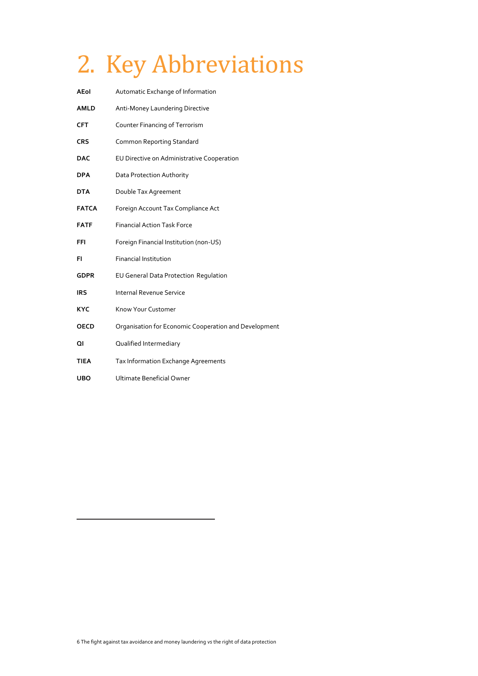# 2. Key Abbreviations

| <b>AEol</b>  | Automatic Exchange of Information                     |  |
|--------------|-------------------------------------------------------|--|
| <b>AMLD</b>  | Anti-Money Laundering Directive                       |  |
| <b>CFT</b>   | Counter Financing of Terrorism                        |  |
| <b>CRS</b>   | <b>Common Reporting Standard</b>                      |  |
| <b>DAC</b>   | EU Directive on Administrative Cooperation            |  |
| <b>DPA</b>   | Data Protection Authority                             |  |
| <b>DTA</b>   | Double Tax Agreement                                  |  |
| <b>FATCA</b> | Foreign Account Tax Compliance Act                    |  |
| <b>FATF</b>  | <b>Financial Action Task Force</b>                    |  |
| FFI          | Foreign Financial Institution (non-US)                |  |
| FI.          | <b>Financial Institution</b>                          |  |
| <b>GDPR</b>  | EU General Data Protection Regulation                 |  |
| <b>IRS</b>   | <b>Internal Revenue Service</b>                       |  |
| <b>KYC</b>   | Know Your Customer                                    |  |
| <b>OECD</b>  | Organisation for Economic Cooperation and Development |  |
| ΩI           | Qualified Intermediary                                |  |
| TIEA         | Tax Information Exchange Agreements                   |  |
| <b>UBO</b>   | Ultimate Beneficial Owner                             |  |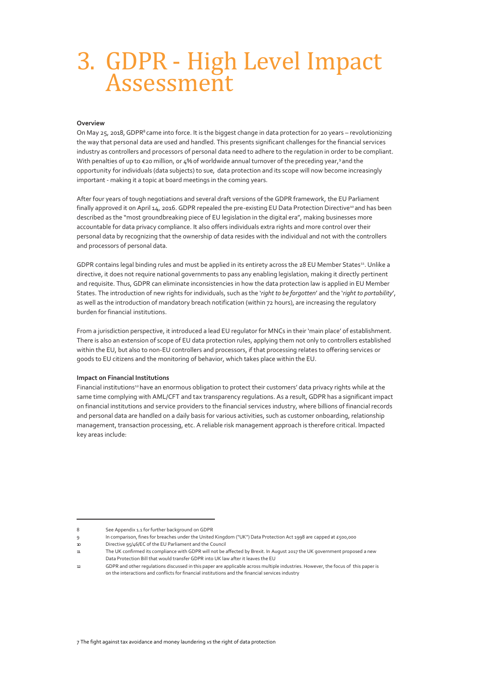## 3. GDPR - High Level Impact Assessment

#### <span id="page-6-0"></span>**Overview**

On May 25, 2018, GDPR<sup>8</sup> came into force. It is the biggest change in data protection for 20 years – revolutionizing the way that personal data are used and handled. This presents significant challenges for the financial services industry as controllers and processors of personal data need to adhere to the regulation in order to be compliant. With penalties of up to  $\epsilon$ 20 million, or 4% of worldwide annual turnover of the preceding year,9 and the opportunity for individuals (data subjects) to sue, data protection and its scope will now become increasingly important - making it a topic at board meetings in the coming years.

After four years of tough negotiations and several draft versions of the GDPR framework, the EU Parliament finally approved it on April 14, 2016. GDPR repealed the pre-existing EU Data Protection Directive<sup>10</sup> and has been described as the "most groundbreaking piece of EU legislation in the digital era", making businesses more accountable for data privacy compliance. It also offers individuals extra rights and more control over their personal data by recognizing that the ownership of data resides with the individual and not with the controllers and processors of personal data.

GDPR contains legal binding rules and must be applied in its entirety across the 28 EU Member States<sup>11</sup>. Unlike a directive, it does not require national governments to pass any enabling legislation, making it directly pertinent and requisite. Thus, GDPR can eliminate inconsistencies in how the data protection law is applied in EU Member States. The introduction of new rights for individuals, such as the '*right to be forgotten*' and the '*right to portability*', as well as the introduction of mandatory breach notification (within 72 hours), are increasing the regulatory burden for financial institutions.

From a jurisdiction perspective, it introduced a lead EU regulator for MNCs in their 'main place' of establishment. There is also an extension of scope of EU data protection rules, applying them not only to controllers established within the EU, but also to non-EU controllers and processors, if that processing relates to offering services or goods to EU citizens and the monitoring of behavior, which takes place within the EU.

#### **Impact on Financial Institutions**

Financial institutions<sup>12</sup> have an enormous obligation to protect their customers' data privacy rights while at the same time complying with AML/CFT and tax transparency regulations. As a result, GDPR has a significant impact on financial institutions and service providers to the financial services industry, where billions of financial records and personal data are handled on a daily basis for various activities, such as customer onboarding, relationship management, transaction processing, etc. A reliable risk management approach is therefore critical. Impacted key areas include:

<sup>8</sup> See Appendix 1.1 for further background on GDPR

<sup>9</sup> In comparison, fines for breaches under the United Kingdom ("UK") Data Protection Act 1998 are capped at £500,000 10 Directive 95/46/EC of the EU Parliament and the Council

<sup>11</sup> The UK confirmed its compliance with GDPR will not be affected by Brexit. In August 2017 the UK government proposed a new Data Protection Bill that would transfer GDPR into UK law after it leaves the EU

<sup>12</sup> GDPR and other regulations discussed in this paper are applicable across multiple industries. However, the focus of this paper is on the interactions and conflicts for financial institutions and the financial services industry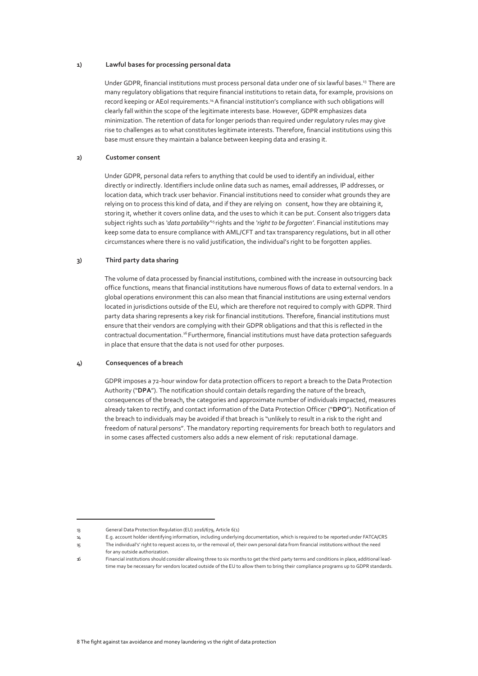#### **1) Lawful bases for processing personal data**

Under GDPR, financial institutions must process personal data under one of six lawful bases.<sup>13</sup> There are many regulatory obligations that require financial institutions to retain data, for example, provisions on record keeping or AEoI requirements.<sup>14</sup> A financial institution's compliance with such obligations will clearly fall within the scope of the legitimate interests base. However, GDPR emphasizes data minimization. The retention of data for longer periods than required under regulatory rules may give rise to challenges as to what constitutes legitimate interests. Therefore, financial institutions using this base must ensure they maintain a balance between keeping data and erasing it.

#### **2) Customer consent**

Under GDPR, personal data refers to anything that could be used to identify an individual, either directly or indirectly. Identifiers include online data such as names, email addresses, IP addresses, or location data, which track user behavior. Financial institutions need to consider what grounds they are relying on to process this kind of data, and if they are relying on consent, how they are obtaining it, storing it, whether it covers online data, and the uses to which it can be put. Consent also triggers data subject rights such as *'data portability*<sup>15</sup> rights and the *'right to be forgotten'*. Financial institutions may keep some data to ensure compliance with AML/CFT and tax transparency regulations, but in all other circumstances where there is no valid justification, the individual's right to be forgotten applies.

#### **3) Third party data sharing**

The volume of data processed by financial institutions, combined with the increase in outsourcing back office functions, means that financial institutions have numerous flows of data to external vendors. In a global operations environment this can also mean that financial institutions are using external vendors located in jurisdictions outside of the EU, which are therefore not required to comply with GDPR. Third party data sharing represents a key risk for financial institutions. Therefore, financial institutions must ensure that their vendors are complying with their GDPR obligations and that this is reflected in the contractual documentation.<sup>16</sup> Furthermore, financial institutions must have data protection safeguards in place that ensure that the data is not used for other purposes.

#### **4) Consequences of a breach**

GDPR imposes a 72-hour window for data protection officers to report a breach to the Data Protection Authority ("**DPA**"). The notification should contain details regarding the nature of the breach, consequences of the breach, the categories and approximate number of individuals impacted, measures already taken to rectify, and contact information of the Data Protection Officer ("**DPO**"). Notification of the breach to individuals may be avoided if that breach is "unlikely to result in a risk to the right and freedom of natural persons". The mandatory reporting requirements for breach both to regulators and in some cases affected customers also adds a new element of risk: reputational damage.

- 15 The individual's' right to request access to, or the removal of, their own personal data from financial institutions without the need for any outside authorization.
- 16 Financial institutions should consider allowing three to six months to get the third party terms and conditions in place, additional leadtime may be necessary for vendors located outside of the EU to allow them to bring their compliance programs up to GDPR standards.

<sup>13</sup> General Data Protection Regulation (EU) 2016/679, Article 6(1)

<sup>14</sup> E.g. account holder identifying information, including underlying documentation, which is required to be reported under FATCA/CRS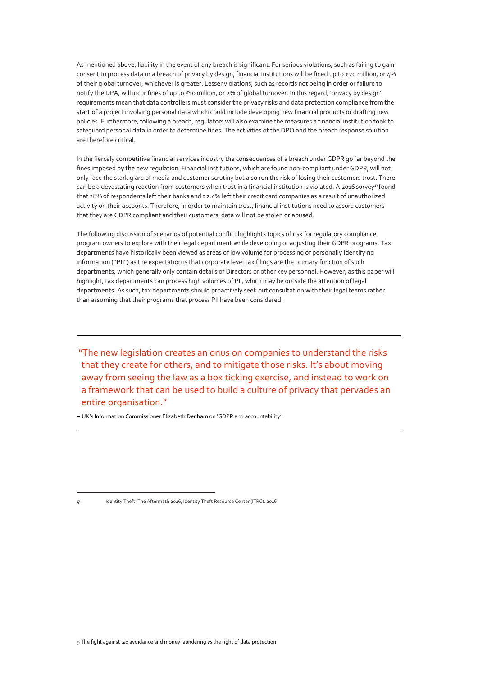<span id="page-8-0"></span>As mentioned above, liability in the event of any breach is significant. For serious violations, such as failing to gain consent to process data or a breach of privacy by design, financial institutions will be fined up to €20 million, or 4% of their global turnover, whichever is greater. Lesser violations, such as records not being in order or failure to notify the DPA, will incur fines of up to €10 million, or 2% of global turnover. In this regard, 'privacy by design' requirements mean that data controllers must consider the privacy risks and data protection compliance from the start of a project involving personal data which could include developing new financial products or drafting new policies. Furthermore, following a breach, regulators will also examine the measures a financial institution took to safeguard personal data in order to determine fines. The activities of the DPO and the breach response solution are therefore critical.

In the fiercely competitive financial services industry the consequences of a breach under GDPR go far beyond the fines imposed by the new regulation. Financial institutions, which are found non-compliant under GDPR, will not only face the stark glare of media and customer scrutiny but also run the risk of losing their customers trust. There can be a devastating reaction from customers when trust in a financial institution is violated. A 2016 survey<sup>17</sup>found that 28% of respondents left their banks and 22.4% left their credit card companies as a result of unauthorized activity on their accounts. Therefore, in order to maintain trust, financial institutions need to assure customers that they are GDPR compliant and their customers' data will not be stolen or abused.

The following discussion of scenarios of potential conflict highlights topics of risk for regulatory compliance program owners to explore with their legal department while developing or adjusting their GDPR programs. Tax departments have historically been viewed as areas of low volume for processing of personally identifying information ("**PII**") as the expectation is that corporate level tax filings are the primary function of such departments, which generally only contain details of Directors or other key personnel. However, as this paper will highlight, tax departments can process high volumes of PII, which may be outside the attention of legal departments. As such, tax departments should proactively seek out consultation with their legal teams rather than assuming that their programs that process PII have been considered.

"The new legislation creates an onus on companies to understand the risks that they create for others, and to mitigate those risks. It's about moving away from seeing the law as a box ticking exercise, and instead to work on a framework that can be used to build a culture of privacy that pervades an entire organisation."

– UK's Information Commissioner Elizabeth Denham on 'GDPR and accountability'.

17 Identity Theft: The Aftermath 2016, Identity Theft Resource Center (ITRC), 2016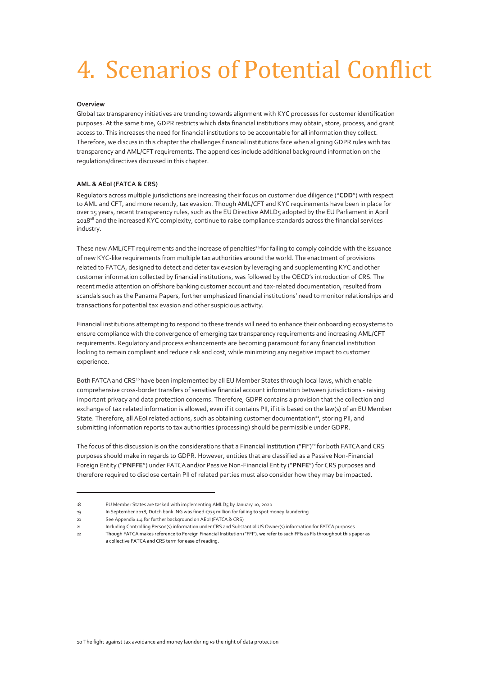# 4. Scenarios of Potential Conflict

#### <span id="page-9-0"></span>**Overview**

Global tax transparency initiatives are trending towards alignment with KYC processes for customer identification purposes. At the same time, GDPR restricts which data financial institutions may obtain, store, process, and grant access to. This increases the need for financial institutions to be accountable for all information they collect. Therefore, we discuss in this chapter the challenges financial institutions face when aligning GDPR rules with tax transparency and AML/CFT requirements. The appendices include additional background information on the regulations/directives discussed in this chapter.

#### **AML & AEoI (FATCA & CRS)**

Regulators across multiple jurisdictions are increasing their focus on customer due diligence ("**CDD**") with respect to AML and CFT, and more recently, tax evasion. Though AML/CFT and KYC requirements have been in place for over 15 years, recent transparency rules, such as the EU Directive AMLD5 adopted by the EU Parliament in April 2018<sup>18</sup> and the increased KYC complexity, continue to raise compliance standards across the financial services industry.

These new AML/CFT requirements and the increase of penalties<sup>19</sup> for failing to comply coincide with the issuance of new KYC-like requirements from multiple tax authorities around the world. The enactment of provisions related to FATCA, designed to detect and deter tax evasion by leveraging and supplementing KYC and other customer information collected by financial institutions, was followed by the OECD's introduction of CRS. The recent media attention on offshore banking customer account and tax-related documentation, resulted from scandals such as the Panama Papers, further emphasized financial institutions' need to monitor relationships and transactions for potential tax evasion and other suspicious activity.

Financial institutions attempting to respond to these trends will need to enhance their onboarding ecosystems to ensure compliance with the convergence of emerging tax transparency requirements and increasing AML/CFT requirements. Regulatory and process enhancements are becoming paramount for any financial institution looking to remain compliant and reduce risk and cost, while minimizing any negative impact to customer experience.

Both FATCA and CRS<sup>20</sup> have been implemented by all EU Member States through local laws, which enable comprehensive cross-border transfers of sensitive financial account information between jurisdictions - raising important privacy and data protection concerns. Therefore, GDPR contains a provision that the collection and exchange of tax related information is allowed, even if it contains PII, if it is based on the law(s) of an EU Member State. Therefore, all AEoI related actions, such as obtaining customer documentation<sup>21</sup>, storing PII, and submitting information reports to tax authorities (processing) should be permissible under GDPR.

The focus of this discussion is on the considerations that a Financial Institution ("FI")<sup>22</sup> for both FATCA and CRS purposes should make in regards to GDPR. However, entities that are classified as a Passive Non-Financial Foreign Entity ("**PNFFE**") under FATCA and/or Passive Non-Financial Entity ("**PNFE**") for CRS purposes and therefore required to disclose certain PII of related parties must also consider how they may be impacted.

<sup>18</sup> EU Member States are tasked with implementing AMLD5 by January 10, 2020

<sup>19</sup> In September 2018, Dutch bank ING was fined €775 million for failing to spot money laundering

<sup>20</sup> See Appendix 1.4 for further background on AEoI (FATCA & CRS)

<sup>21</sup> Including Controlling Person(s) information under CRS and Substantial US Owner(s) information for FATCA purposes

<sup>22</sup> Though FATCA makes reference to Foreign Financial Institution ("FFI"), we refer to such FFIs as FIs throughout this paper as a collective FATCA and CRS term for ease of reading.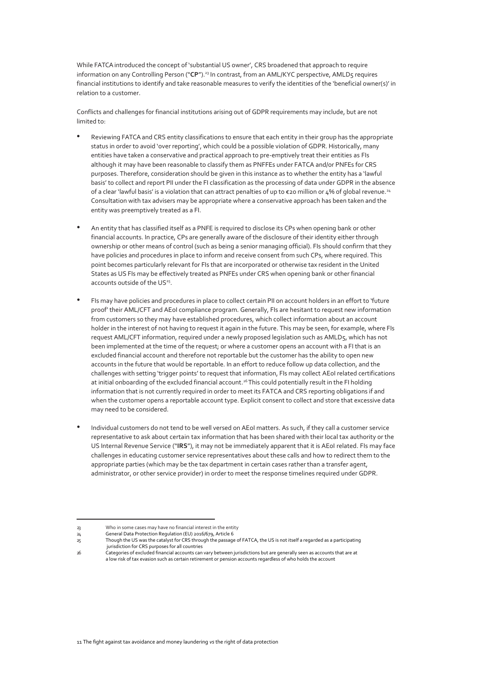<span id="page-10-0"></span>While FATCA introduced the concept of 'substantial US owner', CRS broadened that approach to require information on any Controlling Person ("**CP**"). <sup>23</sup> In contrast, from an AML/KYC perspective, AMLD5 requires financial institutions to identify and take reasonable measures to verify the identities of the 'beneficial owner(s)' in relation to a customer.

Conflicts and challenges for financial institutions arising out of GDPR requirements may include, but are not limited to:

- Reviewing FATCA and CRS entity classifications to ensure that each entity in their group has the appropriate status in order to avoid 'over reporting', which could be a possible violation of GDPR. Historically, many entities have taken a conservative and practical approach to pre-emptively treat their entities as FIs although it may have been reasonable to classify them as PNFFEs under FATCA and/or PNFEs for CRS purposes. Therefore, consideration should be given in this instance as to whether the entity has a 'lawful basis' to collect and report PII under the FI classification as the processing of data under GDPR in the absence of a clear 'lawful basis' is a violation that can attract penalties of up to  $\epsilon$ 20 million or 4% of global revenue.<sup>24</sup> Consultation with tax advisers may be appropriate where a conservative approach has been taken and the entity was preemptively treated as a FI.
- An entity that has classified itself as a PNFE is required to disclose its CPs when opening bank or other financial accounts. In practice, CPs are generally aware of the disclosure of their identity either through ownership or other means of control (such as being a senior managing official). FIs should confirm that they have policies and procedures in place to inform and receive consent from such CPs, where required. This point becomes particularly relevant for FIs that are incorporated or otherwise tax resident in the United States as US FIs may be effectively treated as PNFEs under CRS when opening bank or other financial accounts outside of the US $25$ .
- FIs may have policies and procedures in place to collect certain PII on account holders in an effort to 'future proof' their AML/CFT and AEoI compliance program. Generally, FIs are hesitant to request new information from customers so they may have established procedures, which collect information about an account holder in the interest of not having to request it again in the future. This may be seen, for example, where FIs request AML/CFT information, required under a newly proposed legislation such as AMLD5, which has not been implemented at the time of the request; or where a customer opens an account with a FI that is an excluded financial account and therefore not reportable but the customer has the ability to open new accounts in the future that would be reportable. In an effort to reduce follow up data collection, and the challenges with setting 'trigger points' to request that information, FIs may collect AEoI related certifications at initial onboarding of the excluded financial account.<sup>26</sup>This could potentially result in the FI holding information that is not currently required in order to meet its FATCA and CRS reporting obligations if and when the customer opens a reportable account type. Explicit consent to collect and store that excessive data may need to be considered.
- Individual customers do not tend to be well versed on AEoI matters. As such, if they call a customer service representative to ask about certain tax information that has been shared with their local tax authority or the US Internal Revenue Service ("**IRS**"), it may not be immediately apparent that it is AEoI related. FIs may face challenges in educating customer service representatives about these calls and how to redirect them to the appropriate parties (which may be the tax department in certain cases rather than a transfer agent, administrator, or other service provider) in order to meet the response timelines required under GDPR.

<sup>23</sup> Who in some cases may have no financial interest in the entity

<sup>24</sup> General Data Protection Regulation (EU) 2016/679, Article 6 Though the US was the catalyst for CRS through the passage of FATCA, the US is not itself a regarded as a participating

jurisdiction for CRS purposes for all countries

<sup>26</sup> Categories of excluded financial accounts can vary between jurisdictions but are generally seen as accounts that are at a low risk of tax evasion such as certain retirement or pension accounts regardless of who holds the account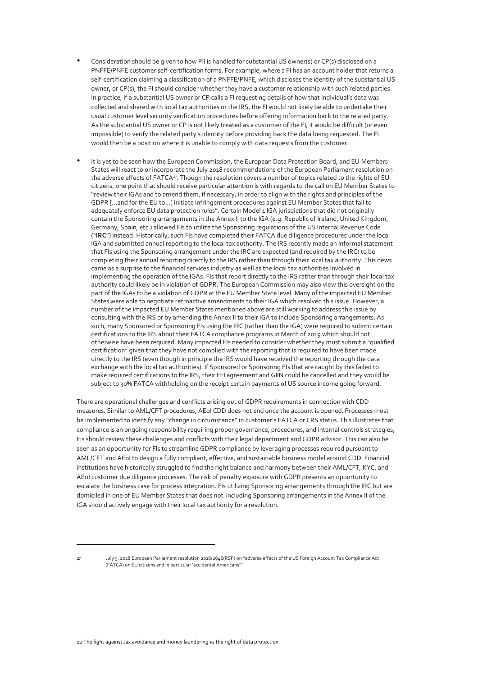- Consideration should be given to how PII is handled for substantial US owner(s) or CP(s) disclosed on a PNFFE/PNFE customer self-certification forms. For example, where a FI has an account holder that returns a self-certification claiming a classification of a PNFFE/PNFE, which discloses the identity of the substantial US owner, or CP(s), the FI should consider whether they have a customer relationship with such related parties. In practice, if a substantial US owner or CP calls a FI requesting details of how that individual's data was collected and shared with local tax authorities or the IRS, the FI would not likely be able to undertake their usual customer level security verification procedures before offering information back to the related party. As the substantial US owner or CP is not likely treated as a customer of the FI, it would be difficult (or even impossible) to verify the related party's identity before providing back the data being requested. The FI would then be a position where it is unable to comply with data requests from the customer.
- It is yet to be seen how the European Commission, the European Data Protection Board, and EU Members States will react to or incorporate the July 2018 recommendations of the European Parliament resolution on the adverse effects of FATCA<sup>27</sup>. Though the resolution covers a number of topics related to the rights of EU citizens, one point that should receive particular attention is with regards to the call on EU Member States to "review their IGAs and to amend them, if necessary, in order to align with the rights and principles of the GDPR [...and for the EU to…] initiate infringement procedures against EU Member States that fail to adequately enforce EU data protection rules". Certain Model 1 IGA jurisdictions that did not originally contain the Sponsoring arrangements in the Annex II to the IGA (e.g. Republic of Ireland, United Kingdom, Germany, Spain, etc.) allowed FIs to utilize the Sponsoring regulations of the US Internal Revenue Code ("**IRC**") instead. Historically, such FIs have completed their FATCA due diligence procedures under the local IGA and submitted annual reporting to the local tax authority. The IRS recently made an informal statement that FIs using the Sponsoring arrangement under the IRC are expected (and required by the IRC) to be completing their annual reporting directly to the IRS rather than through their local tax authority. This news came as a surprise to the financial services industry as well as the local tax authorities involved in implementing the operation of the IGAs. FIs that report directly to the IRS rather than through their local tax authority could likely be in violation of GDPR. The European Commission may also view this oversight on the part of the IGAs to be a violation of GDPR at the EU Member State level. Many of the impacted EU Member States were able to negotiate retroactive amendments to their IGA which resolved this issue. However, a number of the impacted EU Member States mentioned above are still working to address this issue by consulting with the IRS or by amending the Annex II to their IGA to include Sponsoring arrangements. As such, many Sponsored or Sponsoring FIs using the IRC (rather than the IGA) were required to submit certain certifications to the IRS about their FATCA compliance programs in March 0f 2019 which should not otherwise have been required. Many impacted FIs needed to consider whether they must submit a "qualified certification" given that they have not complied with the reporting that is required to have been made directly to the IRS (even though in principle the IRS would have received the reporting through the data exchange with the local tax authorities). If Sponsored or Sponsoring FIs that are caught by this failed to make required certifications to the IRS, their FFI agreement and GIIN could be cancelled and they would be subject to 30% FATCA withholding on the receipt certain payments of US source income going forward.

There are operational challenges and conflicts arising out of GDPR requirements in connection with CDD measures. Similar to AML/CFT procedures, AEoI CDD does not end once the account is opened. Processes must be implemented to identify any "change in circumstance" in customer's FATCA or CRS status. This illustrates that compliance is an ongoing responsibility requiring proper governance, procedures, and internal controls strategies, FIs should review these challenges and conflicts with their legal department and GDPR advisor. This can also be seen as an opportunity for FIs to streamline GDPR compliance by leveraging processes required pursuant to AML/CFT and AEoI to design a fully compliant, effective, and sustainable business model around CDD. Financial institutions have historically struggled to find the right balance and harmony between their AML/CFT, KYC, and AEoI customer due diligence processes. The risk of penalty exposure with GDPR presents an opportunity to escalate the business case for process integration. FIs utilizing Sponsoring arrangements through the IRC but are domiciled in one of EU Member States that does not including Sponsoring arrangements in the Annex II of the IGA should actively engage with their local tax authority for a resolution.

<sup>27</sup> July 5, 2018 European Parliament resolution 2018/2646(RSP) on "adverse effects of the US Foreign Account Tax Compliance Act (FATCA) on EU citizens and in particular 'accidental Americans'"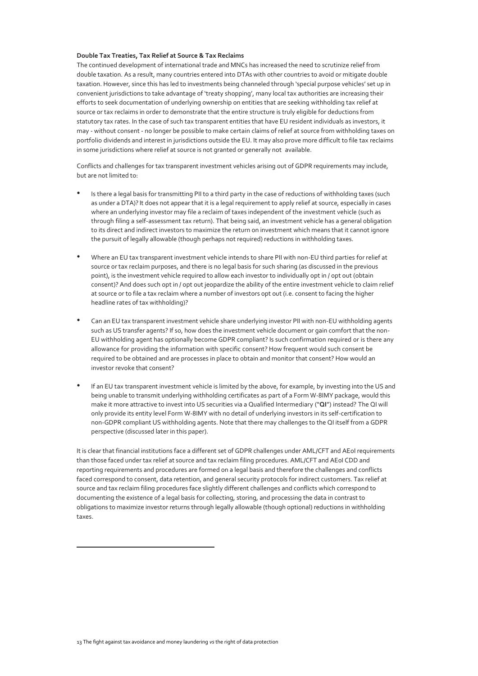#### **Double Tax Treaties, Tax Relief at Source & Tax Reclaims**

The continued development of international trade and MNCs has increased the need to scrutinize relief from double taxation. As a result, many countries entered into DTAs with other countries to avoid or mitigate double taxation. However, since this has led to investments being channeled through 'special purpose vehicles' set up in convenient jurisdictions to take advantage of 'treaty shopping', many local tax authorities are increasing their efforts to seek documentation of underlying ownership on entities that are seeking withholding tax relief at source or tax reclaims in order to demonstrate that the entire structure is truly eligible for deductions from statutory tax rates. In the case of such tax transparent entities that have EU resident individuals as investors, it may - without consent - no longer be possible to make certain claims of relief at source from withholding taxes on portfolio dividends and interest in jurisdictions outside the EU. It may also prove more difficult to file tax reclaims in some jurisdictions where relief at source is not granted or generally not available.

Conflicts and challenges for tax transparent investment vehicles arising out of GDPR requirements may include, but are not limited to:

- Is there a legal basis for transmitting PII to a third party in the case of reductions of withholding taxes (such as under a DTA)? It does not appear that it is a legal requirement to apply relief at source, especially in cases where an underlying investor may file a reclaim of taxes independent of the investment vehicle (such as through filing a self-assessment tax return). That being said, an investment vehicle has a general obligation to its direct and indirect investors to maximize the return on investment which means that it cannot ignore the pursuit of legally allowable (though perhaps not required) reductions in withholding taxes.
- Where an EU tax transparent investment vehicle intends to share PII with non-EU third parties for relief at source or tax reclaim purposes, and there is no legal basis for such sharing (as discussed in the previous point), is the investment vehicle required to allow each investor to individually opt in / opt out (obtain consent)? And does such opt in / opt out jeopardize the ability of the entire investment vehicle to claim relief at source or to file a tax reclaim where a number of investors opt out (i.e. consent to facing the higher headline rates of tax withholding)?
- Can an EU tax transparent investment vehicle share underlying investor PII with non-EU withholding agents such as US transfer agents? If so, how does the investment vehicle document or gain comfort that the non-EU withholding agent has optionally become GDPR compliant? Is such confirmation required or is there any allowance for providing the information with specific consent? How frequent would such consent be required to be obtained and are processes in place to obtain and monitor that consent? How would an investor revoke that consent?
- If an EU tax transparent investment vehicle is limited by the above, for example, by investing into the US and being unable to transmit underlying withholding certificates as part of a Form W-8IMY package, would this make it more attractive to invest into US securities via a Qualified Intermediary ("**QI**") instead? The QI will only provide its entity level Form W-8IMY with no detail of underlying investors in its self-certification to non-GDPR compliant US withholding agents. Note that there may challenges to the QI itself from a GDPR perspective (discussed later in this paper).

It is clear that financial institutions face a different set of GDPR challenges under AML/CFT and AEoI requirements than those faced under tax relief at source and tax reclaim filing procedures. AML/CFT and AE0I CDD and reporting requirements and procedures are formed on a legal basis and therefore the challenges and conflicts faced correspond to consent, data retention, and general security protocols for indirect customers. Tax relief at source and tax reclaim filing procedures face slightly different challenges and conflicts which correspond to documenting the existence of a legal basis for collecting, storing, and processing the data in contrast to obligations to maximize investor returns through legally allowable (though optional) reductions in withholding taxes.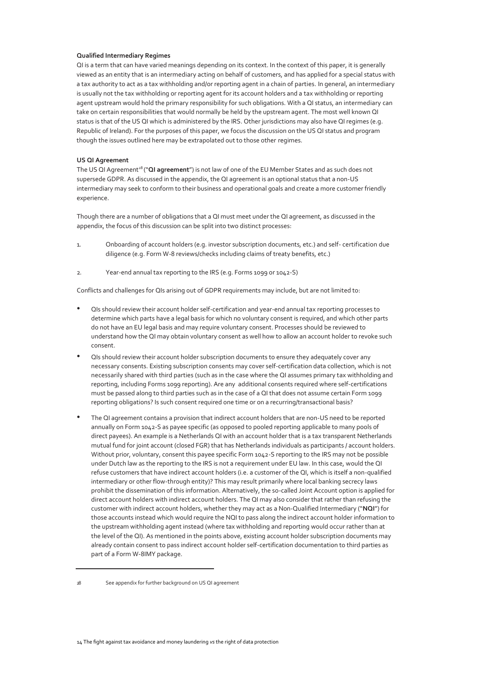#### <span id="page-13-0"></span>**Qualified Intermediary Regimes**

QI is a term that can have varied meanings depending on its context. In the context of this paper, it is generally viewed as an entity that is an intermediary acting on behalf of customers, and has applied for a special status with a tax authority to act as a tax withholding and/or reporting agent in a chain of parties. In general, an intermediary is usually not the tax withholding or reporting agent for its account holders and a tax withholding or reporting agent upstream would hold the primary responsibility for such obligations. With a QI status, an intermediary can take on certain responsibilities that would normally be held by the upstream agent. The most well known QI status is that of the US QI which is administered by the IRS. Other jurisdictions may also have QI regimes (e.g. Republic of Ireland). For the purposes of this paper, we focus the discussion on the US QI status and program though the issues outlined here may be extrapolated out to those other regimes.

#### **US QI Agreement**

The US QI Agreement<sup>28</sup> ("QI agreement") is not law of one of the EU Member States and as such does not supersede GDPR. As discussed in the appendix, the QI agreement is an optional status that a non-US intermediary may seek to conform to their business and operational goals and create a more customer friendly experience.

Though there are a number of obligations that a QI must meet under the QI agreement, as discussed in the appendix, the focus of this discussion can be split into two distinct processes:

- 1. Onboarding of account holders (e.g. investor subscription documents, etc.) and self- certification due diligence (e.g. Form W-8 reviews/checks including claims of treaty benefits, etc.)
- 2. Year-end annual tax reporting to the IRS (e.g. Forms 1099 or 1042-S)

Conflicts and challenges for QIs arising out of GDPR requirements may include, but are not limited to:

- QIs should review their account holder self-certification and year-end annual tax reporting processes to determine which parts have a legal basis for which no voluntary consent is required, and which other parts do not have an EU legal basis and may require voluntary consent. Processes should be reviewed to understand how the QI may obtain voluntary consent as well how to allow an account holder to revoke such consent.
- QIs should review their account holder subscription documents to ensure they adequately cover any necessary consents. Existing subscription consents may cover self-certification data collection, which is not necessarily shared with third parties (such as in the case where the QI assumes primary tax withholding and reporting, including Forms 1099 reporting). Are any additional consents required where self-certifications must be passed along to third parties such as in the case of a QI that does not assume certain Form 1099 reporting obligations? Is such consent required one time or on a recurring/transactional basis?
- The QI agreement contains a provision that indirect account holders that are non-US need to be reported annually on Form 1042-S as payee specific (as opposed to pooled reporting applicable to many pools of direct payees). An example is a Netherlands QI with an account holder that is a tax transparent Netherlands mutual fund for joint account (closed FGR) that has Netherlands individuals as participants / account holders. Without prior, voluntary, consent this payee specific Form 1042-S reporting to the IRS may not be possible under Dutch law as the reporting to the IRS is not a requirement under EU law. In this case, would the QI refuse customers that have indirect account holders (i.e. a customer of the QI, which is itself a non-qualified intermediary or other flow-through entity)? This may result primarily where local banking secrecy laws prohibit the dissemination of this information. Alternatively, the so-called Joint Account option is applied for direct account holders with indirect account holders. The QI may also consider that rather than refusing the customer with indirect account holders, whether they may act as a Non-Qualified Intermediary ("**NQI**") for those accounts instead which would require the NQI to pass along the indirect account holder information to the upstream withholding agent instead (where tax withholding and reporting would occur rather than at the level of the QI). As mentioned in the points above, existing account holder subscription documents may already contain consent to pass indirect account holder self-certification documentation to third parties as part of a Form W-8IMY package.

<sup>28</sup> See appendix for further background on US QI agreement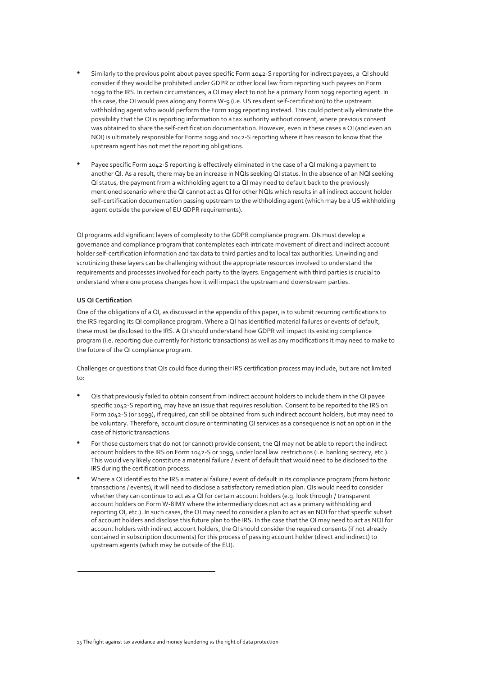- Similarly to the previous point about payee specific Form 1042-S reporting for indirect payees, a QI should consider if they would be prohibited under GDPR or other local law from reporting such payees on Form 1099 to the IRS. In certain circumstances, a QI may elect to not be a primary Form 1099 reporting agent. In this case, the QI would pass along any Forms W-9 (i.e. US resident self-certification) to the upstream withholding agent who would perform the Form 1099 reporting instead. This could potentially eliminate the possibility that the QI is reporting information to a tax authority without consent, where previous consent was obtained to share the self-certification documentation. However, even in these cases a QI (and even an NQI) is ultimately responsible for Forms 1099 and 1042-S reporting where it has reason to know that the upstream agent has not met the reporting obligations.
- Payee specific Form 1042-S reporting is effectively eliminated in the case of a QI making a payment to another QI. As a result, there may be an increase in NQIs seeking QI status. In the absence of an NQI seeking QI status, the payment from a withholding agent to a QI may need to default back to the previously mentioned scenario where the QI cannot act as QI for other NQIs which results in all indirect account holder self-certification documentation passing upstream to the withholding agent (which may be a US withholding agent outside the purview of EU GDPR requirements).

QI programs add significant layers of complexity to the GDPR compliance program. QIs must develop a governance and compliance program that contemplates each intricate movement of direct and indirect account holder self-certification information and tax data to third parties and to local tax authorities. Unwinding and scrutinizing these layers can be challenging without the appropriate resources involved to understand the requirements and processes involved for each party to the layers. Engagement with third parties is crucial to understand where one process changes how it will impact the upstream and downstream parties.

#### **US QI Certification**

One of the obligations of a QI, as discussed in the appendix of this paper, is to submit recurring certifications to the IRS regarding its QI compliance program. Where a QI has identified material failures or events of default, these must be disclosed to the IRS. A QI should understand how GDPR will impact its existing compliance program (i.e. reporting due currently for historic transactions) as well as any modifications it may need to make to the future of the QI compliance program.

Challenges or questions that QIs could face during their IRS certification process may include, but are not limited  $\dots$ 

- QIs that previously failed to obtain consent from indirect account holders to include them in the QI payee specific 1042-S reporting, may have an issue that requires resolution. Consent to be reported to the IRS on Form 1042-S (or 1099), if required, can still be obtained from such indirect account holders, but may need to be voluntary. Therefore, account closure or terminating QI services as a consequence is not an option in the case of historic transactions.
- <span id="page-14-0"></span>• For those customers that do not (or cannot) provide consent, the QI may not be able to report the indirect account holders to the IRS on Form 1042-S or 1099, under local law restrictions (i.e. banking secrecy, etc.). This would very likely constitute a material failure / event of default that would need to be disclosed to the IRS during the certification process.
- Where a QI identifies to the IRS a material failure / event of default in its compliance program (from historic transactions / events), it will need to disclose a satisfactory remediation plan. QIs would need to consider whether they can continue to act as a QI for certain account holders (e.g. look through / transparent account holders on Form W-8IMY where the intermediary does not act as a primary withholding and reporting QI, etc.). In such cases, the QI may need to consider a plan to act as an NQI for that specific subset of account holders and disclose this future plan to the IRS. In the case that the QI may need to act as NQI for account holders with indirect account holders, the QI should consider the required consents (if not already contained in subscription documents) for this process of passing account holder (direct and indirect) to upstream agents (which may be outside of the EU).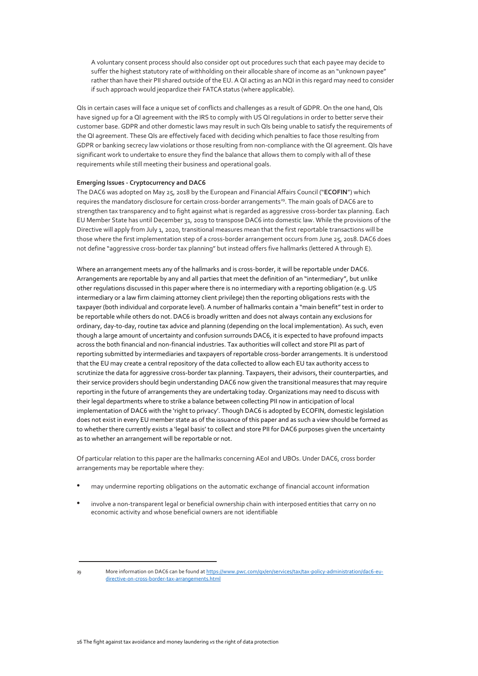A voluntary consent process should also consider opt out procedures such that each payee may decide to suffer the highest statutory rate of withholding on their allocable share of income as an "unknown payee" rather than have their PII shared outside of the EU. A QI acting as an NQI in this regard may need to consider if such approach would jeopardize their FATCA status (where applicable).

QIs in certain cases will face a unique set of conflicts and challenges as a result of GDPR. On the one hand, QIs have signed up for a QI agreement with the IRS to comply with US QI regulations in order to better serve their customer base. GDPR and other domestic laws may result in such QIs being unable to satisfy the requirements of the QI agreement. These QIs are effectively faced with deciding which penalties to face those resulting from GDPR or banking secrecy law violations or those resulting from non-compliance with the QI agreement. QIs have significant work to undertake to ensure they find the balance that allows them to comply with all of these requirements while still meeting their business and operational goals.

#### <span id="page-15-0"></span>**Emerging Issues - Cryptocurrency and DAC6**

The DAC6 was adopted on May 25, 2018 by the European and Financial Affairs Council ("**ECOFIN**") which requires the mandatory disclosure for certain cross-border arrangements<sup>29</sup>. The main goals of DAC6 are to strengthen tax transparency and to fight against what is regarded as aggressive cross-border tax planning. Each EU Member State has until December 31, 2019 to transpose DAC6 into domestic law. While the provisions of the Directive will apply from July 1, 2020, transitional measures mean that the first reportable transactions will be those where the first implementation step of a cross-border arrangement occurs from June 25, 2018. DAC6 does not define "aggressive cross-border tax planning" but instead offers five hallmarks (lettered A through E).

Where an arrangement meets any of the hallmarks and is cross-border, it will be reportable under DAC6. Arrangements are reportable by any and all parties that meet the definition of an "intermediary", but unlike other regulations discussed in this paper where there is no intermediary with a reporting obligation (e.g. US intermediary or a law firm claiming attorney client privilege) then the reporting obligations rests with the taxpayer (both individual and corporate level). A number of hallmarks contain a "main benefit" test in order to be reportable while others do not. DAC6 is broadly written and does not always contain any exclusions for ordinary, day-to-day, routine tax advice and planning (depending on the local implementation). As such, even though a large amount of uncertainty and confusion surrounds DAC6, it is expected to have profound impacts across the both financial and non-financial industries. Tax authorities will collect and store PII as part of reporting submitted by intermediaries and taxpayers of reportable cross-border arrangements. It is understood that the EU may create a central repository of the data collected to allow each EU tax authority access to scrutinize the data for aggressive cross-border tax planning. Taxpayers, their advisors, their counterparties, and their service providers should begin understanding DAC6 now given the transitional measures that may require reporting in the future of arrangements they are undertaking today. Organizations may need to discuss with their legal departments where to strike a balance between collecting PII now in anticipation of local implementation of DAC6 with the 'right to privacy'. Though DAC6 is adopted by ECOFIN, domestic legislation does not exist in every EU member state as of the issuance of this paper and as such a view should be formed as to whether there currently exists a 'legal basis' to collect and store PII for DAC6 purposes given the uncertainty as to whether an arrangement will be reportable or not.

Of particular relation to this paper are the hallmarks concerning AEoI and UBOs. Under DAC6, cross border arrangements may be reportable where they:

- may undermine reporting obligations on the automatic exchange of financial account information
- involve a non-transparent legal or beneficial ownership chain with interposed entities that carry on no economic activity and whose beneficial owners are not identifiable
- 29 More information on DAC6 can be found a[t https://www.pwc.com/gx/en/services/tax/tax-policy-administration/dac6-eu](https://www.pwc.com/gx/en/services/tax/tax-policy-administration/dac6-eu-directive-on-cross-border-tax-arrangements.html)[directive-on-cross-border-tax-arrangements.html](https://www.pwc.com/gx/en/services/tax/tax-policy-administration/dac6-eu-directive-on-cross-border-tax-arrangements.html)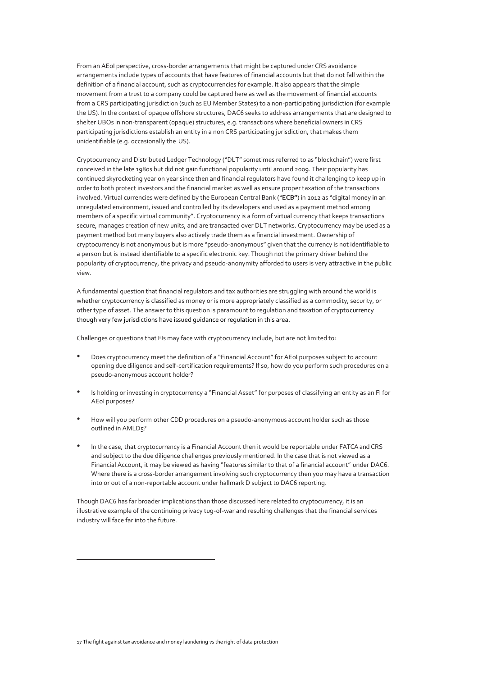From an AEoI perspective, cross-border arrangements that might be captured under CRS avoidance arrangements include types of accounts that have features of financial accounts but that do not fall within the definition of a financial account, such as cryptocurrencies for example. It also appears that the simple movement from a trust to a company could be captured here as well as the movement of financial accounts from a CRS participating jurisdiction (such as EU Member States) to a non-participating jurisdiction (for example the US). In the context of opaque offshore structures, DAC6 seeks to address arrangements that are designed to shelter UBOs in non-transparent (opaque) structures, e.g. transactions where beneficial owners in CRS participating jurisdictions establish an entity in a non CRS participating jurisdiction, that makes them unidentifiable (e.g. occasionally the US).

Cryptocurrency and Distributed Ledger Technology ("DLT" sometimes referred to as "blockchain") were first conceived in the late 1980s but did not gain functional popularity until around 2009. Their popularity has continued skyrocketing year on year since then and financial regulators have found it challenging to keep up in order to both protect investors and the financial market as well as ensure proper taxation of the transactions involved. Virtual currencies were defined by the European Central Bank ("**ECB"**) in 2012 as "digital money in an unregulated environment, issued and controlled by its developers and used as a payment method among members of a specific virtual community". Cryptocurrency is a form of virtual currency that keeps transactions secure, manages creation of new units, and are transacted over DLT networks. Cryptocurrency may be used as a payment method but many buyers also actively trade them as a financial investment. Ownership of cryptocurrency is not anonymous but is more "pseudo-anonymous" given that the currency is not identifiable to a person but is instead identifiable to a specific electronic key. Though not the primary driver behind the popularity of cryptocurrency, the privacy and pseudo-anonymity afforded to users is very attractive in the public view.

A fundamental question that financial regulators and tax authorities are struggling with around the world is whether cryptocurrency is classified as money or is more appropriately classified as a commodity, security, or other type of asset. The answer to this question is paramount to regulation and taxation of cryptocurrency though very few jurisdictions have issued guidance or regulation in this area.

Challenges or questions that FIs may face with cryptocurrency include, but are not limited to:

- Does cryptocurrency meet the definition of a "Financial Account" for AEoI purposes subject to account opening due diligence and self-certification requirements? If so, how do you perform such procedures on a pseudo-anonymous account holder?
- Is holding or investing in cryptocurrency a "Financial Asset" for purposes of classifying an entity as an FI for AEoI purposes?
- How will you perform other CDD procedures on a pseudo-anonymous account holder such as those outlined in AMLD5?
- In the case, that cryptocurrency is a Financial Account then it would be reportable under FATCA and CRS and subject to the due diligence challenges previously mentioned. In the case that is not viewed as a Financial Account, it may be viewed as having "features similar to that of a financial account" under DAC6. Where there is a cross-border arrangement involving such cryptocurrency then you may have a transaction into or out of a non-reportable account under hallmark D subject to DAC6 reporting.

Though DAC6 has far broader implications than those discussed here related to cryptocurrency, it is an illustrative example of the continuing privacy tug-of-war and resulting challenges that the financial services industry will face far into the future.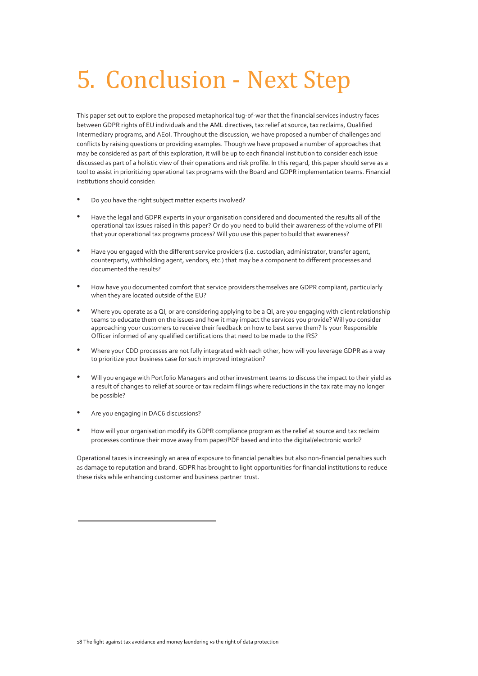# 5. Conclusion - Next Step

This paper set out to explore the proposed metaphorical tug-of-war that the financial services industry faces between GDPR rights of EU individuals and the AML directives, tax relief at source, tax reclaims, Qualified Intermediary programs, and AEoI. Throughout the discussion, we have proposed a number of challenges and conflicts by raising questions or providing examples. Though we have proposed a number of approaches that may be considered as part of this exploration, it will be up to each financial institution to consider each issue discussed as part of a holistic view of their operations and risk profile. In this regard, this paper should serve as a tool to assist in prioritizing operational tax programs with the Board and GDPR implementation teams. Financial institutions should consider:

- Do you have the right subject matter experts involved?
- Have the legal and GDPR experts in your organisation considered and documented the results all of the operational tax issues raised in this paper? Or do you need to build their awareness of the volume of PII that your operational tax programs process? Will you use this paper to build that awareness?
- Have you engaged with the different service providers (i.e. custodian, administrator, transfer agent, counterparty, withholding agent, vendors, etc.) that may be a component to different processes and documented the results?
- How have you documented comfort that service providers themselves are GDPR compliant, particularly when they are located outside of the EU?
- Where you operate as a QI, or are considering applying to be a QI, are you engaging with client relationship teams to educate them on the issues and how it may impact the services you provide? Will you consider approaching your customers to receive their feedback on how to best serve them? Is your Responsible Officer informed of any qualified certifications that need to be made to the IRS?
- Where your CDD processes are not fully integrated with each other, how will you leverage GDPR as a way to prioritize your business case for such improved integration?
- Will you engage with Portfolio Managers and other investment teams to discuss the impact to their yield as a result of changes to relief at source or tax reclaim filings where reductions in the tax rate may no longer be possible?
- Are you engaging in DAC6 discussions?
- How will your organisation modify its GDPR compliance program as the relief at source and tax reclaim processes continue their move away from paper/PDF based and into the digital/electronic world?

Operational taxes is increasingly an area of exposure to financial penalties but also non-financial penalties such as damage to reputation and brand. GDPR has brought to light opportunities for financial institutions to reduce these risks while enhancing customer and business partner trust.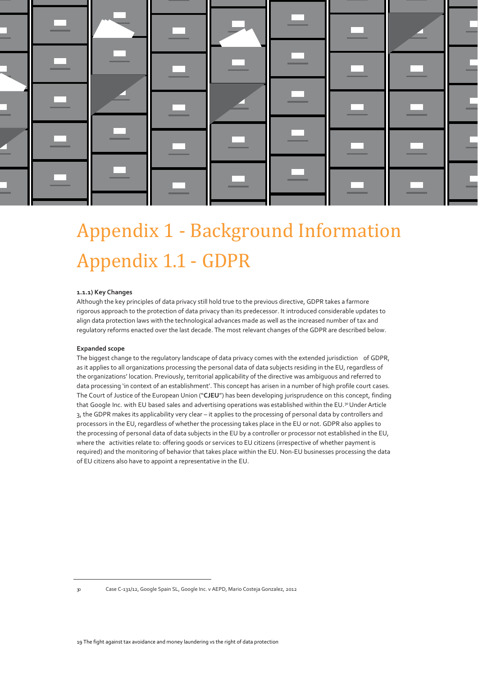

## <span id="page-18-0"></span>Appendix 1 - Background Information Appendix 1.1 - GDPR

#### **1.1.1) Key Changes**

Although the key principles of data privacy still hold true to the previous directive, GDPR takes a farmore rigorous approach to the protection of data privacy than its predecessor. It introduced considerable updates to align data protection laws with the technological advances made as well as the increased number of tax and regulatory reforms enacted over the last decade. The most relevant changes of the GDPR are described below.

#### **Expanded scope**

The biggest change to the regulatory landscape of data privacy comes with the extended jurisdiction of GDPR, as it applies to all organizations processing the personal data of data subjects residing in the EU, regardless of the organizations' location. Previously, territorial applicability of the directive was ambiguous and referred to data processing 'in context of an establishment'. This concept has arisen in a number of high profile court cases. The Court of Justice of the European Union ("**CJEU**") has been developing jurisprudence on this concept, finding that Google Inc. with EU based sales and advertising operations was established within the EU.30 Under Article 3, the GDPR makes its applicability very clear – it applies to the processing of personal data by controllers and processors in the EU, regardless of whether the processing takes place in the EU or not. GDPR also applies to the processing of personal data of data subjects in the EU by a controller or processor not established in the EU, where the activities relate to: offering goods or services to EU citizens (irrespective of whether payment is required) and the monitoring of behavior that takes place within the EU. Non-EU businesses processing the data of EU citizens also have to appoint a representative in the EU.

<sup>30</sup> Case C-131/12, Google Spain SL, Google Inc. v AEPD, Mario Costeja Gonzalez, 2012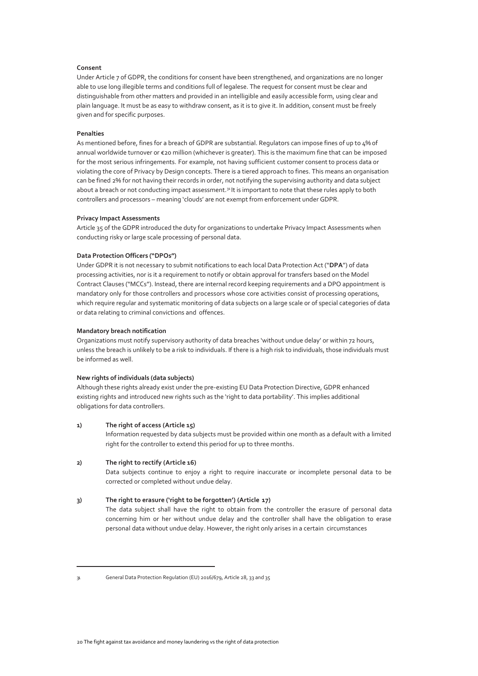#### **Consent**

Under Article 7 of GDPR, the conditions for consent have been strengthened, and organizations are no longer able to use long illegible terms and conditions full of legalese. The request for consent must be clear and distinguishable from other matters and provided in an intelligible and easily accessible form, using clear and plain language. It must be as easy to withdraw consent, as it is to give it. In addition, consent must be freely given and for specific purposes.

#### **Penalties**

As mentioned before, fines for a breach of GDPR are substantial. Regulators can impose fines of up to 4% of annual worldwide turnover or €20 million (whichever is greater). This is the maximum fine that can be imposed for the most serious infringements. For example, not having sufficient customer consent to process data or violating the core of Privacy by Design concepts. There is a tiered approach to fines. This means an organisation can be fined 2% for not having their records in order, not notifying the supervising authority and data subject about a breach or not conducting impact assessment.<sup>31</sup> It is important to note that these rules apply to both controllers and processors – meaning 'clouds' are not exempt from enforcement under GDPR.

#### **Privacy Impact Assessments**

Article 35 of the GDPR introduced the duty for organizations to undertake Privacy Impact Assessments when conducting risky or large scale processing of personal data.

#### **Data Protection Officers ("DPOs")**

Under GDPR it is not necessary to submit notifications to each local Data Protection Act ("**DPA**") of data processing activities, nor is it a requirement to notify or obtain approval for transfers based on the Model Contract Clauses ("MCCs"). Instead, there are internal record keeping requirements and a DPO appointment is mandatory only for those controllers and processors whose core activities consist of processing operations, which require regular and systematic monitoring of data subjects on a large scale or of special categories of data or data relating to criminal convictions and offences.

#### **Mandatory breach notification**

Organizations must notify supervisory authority of data breaches 'without undue delay' or within 72 hours, unless the breach is unlikely to be a risk to individuals. If there is a high risk to individuals, those individuals must be informed as well.

#### **New rights of individuals (data subjects)**

Although these rights already exist under the pre-existing EU Data Protection Directive, GDPR enhanced existing rights and introduced new rights such as the 'right to data portability'. This implies additional obligations for data controllers.

#### **1) The right of access (Article 15)**

Information requested by data subjects must be provided within one month as a default with a limited right for the controller to extend this period for up to three months.

#### **2) The right to rectify (Article 16)**

Data subjects continue to enjoy a right to require inaccurate or incomplete personal data to be corrected or completed without undue delay.

#### **3) The right to erasure ('right to be forgotten') (Article 17)**

The data subject shall have the right to obtain from the controller the erasure of personal data concerning him or her without undue delay and the controller shall have the obligation to erase personal data without undue delay. However, the right only arises in a certain circumstances

<sup>31</sup> General Data Protection Regulation (EU) 2016/679, Article 28, 33 and 35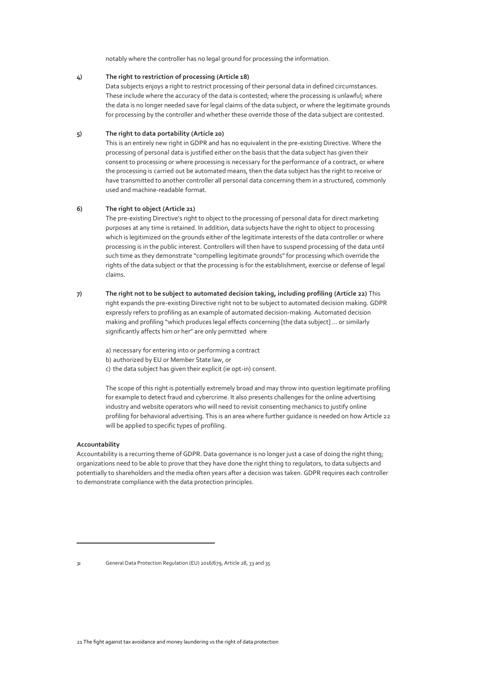notably where the controller has no legal ground for processing the information.

#### **4) The right to restriction of processing (Article 18)**

Data subjects enjoys a right to restrict processing of their personal data in defined circumstances. These include where the accuracy of the data is contested; where the processing is unlawful; where the data is no longer needed save for legal claims of the data subject, or where the legitimate grounds for processing by the controller and whether these override those of the data subject are contested.

#### **5) The right to data portability (Article 20)**

This is an entirely new right in GDPR and has no equivalent in the pre-existing Directive. Where the processing of personal data is justified either on the basis that the data subject has given their consent to processing or where processing is necessary for the performance of a contract, or where the processing is carried out be automated means, then the data subject has the right to receive or have transmitted to another controller all personal data concerning them in a structured, commonly used and machine-readable format.

#### **6) The right to object (Article 21)**

The pre-existing Directive's right to object to the processing of personal data for direct marketing purposes at any time is retained. In addition, data subjects have the right to object to processing which is legitimized on the grounds either of the legitimate interests of the data controller or where processing is in the public interest. Controllers will then have to suspend processing of the data until such time as they demonstrate "compelling legitimate grounds" for processing which override the rights of the data subject or that the processing is for the establishment, exercise or defense of legal claims.

**7) The right not to be subject to automated decision taking, including profiling (Article 22)** This right expands the pre-existing Directive right not to be subject to automated decision making. GDPR expressly refers to profiling as an example of automated decision-making. Automated decision making and profiling "which produces legal effects concerning [the data subject] … or similarly significantly affects him or her" are only permitted where

a) necessary for entering into or performing a contract

- b) authorized by EU or Member State law, or
- c) the data subject has given their explicit (ie opt-in) consent.

The scope of this right is potentially extremely broad and may throw into question legitimate profiling for example to detect fraud and cybercrime. It also presents challenges for the online advertising industry and website operators who will need to revisit consenting mechanics to justify online profiling for behavioral advertising. This is an area where further guidance is needed on how Article 22 will be applied to specific types of profiling.

#### **Accountability**

Accountability is a recurring theme of GDPR. Data governance is no longer just a case of doing the right thing; organizations need to be able to prove that they have done the right thing to regulators, to data subjects and potentially to shareholders and the media often years after a decision was taken. GDPR requires each controller to demonstrate compliance with the data protection principles.

<sup>32</sup> General Data Protection Regulation (EU) 2016/679, Article 28, 33 and 35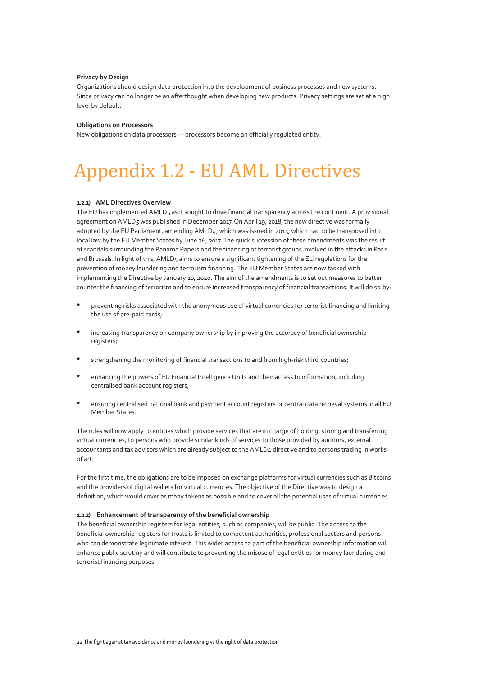#### **Privacy by Design**

Organizations should design data protection into the development of business processes and new systems. Since privacy can no longer be an afterthought when developing new products. Privacy settings are set at a high level by default.

#### **Obligations on Processors**

New obligations on data processors — processors become an officially regulated entity.

## <span id="page-21-0"></span>Appendix 1.2 - EU AML Directives

#### **1.2.1) AML Directives Overview**

The EU has implemented AMLD5 as it sought to drive financial transparency across the continent. A provisional agreement on AMLD5 was published in December 2017. On April 19, 2018, the new directive was formally adopted by the EU Parliament, amending AMLD4, which was issued in 2015, which had to be transposed into local law by the EU Member States by June 26, 2017. The quick succession of these amendments was the result of scandals surrounding the Panama Papers and the financing of terrorist groups involved in the attacks in Paris and Brussels. In light of this, AMLD5 aims to ensure a significant tightening of the EU regulations for the prevention of money laundering and terrorism financing. The EU Member States are now tasked with implementing the Directive by January 10, 2020. The aim of the amendments is to set out measures to better counter the financing of terrorism and to ensure increased transparency of financial transactions. It will do so by:

- preventing risks associated with the anonymous use of virtual currencies for terrorist financing and limiting the use of pre-paid cards;
- increasing transparency on company ownership by improving the accuracy of beneficial ownership registers;
- strengthening the monitoring of financial transactions to and from high-risk third countries;
- enhancing the powers of EU Financial Intelligence Units and their access to information, including centralised bank account registers;
- ensuring centralised national bank and payment account registers or central data retrieval systems in all EU Member States.

The rules will now apply to entities which provide services that are in charge of holding, storing and transferring virtual currencies, to persons who provide similar kinds of services to those provided by auditors, external accountants and tax advisors which are already subject to the AMLD4 directive and to persons trading in works of art.

For the first time, the obligations are to be imposed on exchange platforms for virtual currencies such as Bitcoins and the providers of digital wallets for virtual currencies. The objective of the Directive was to design a definition, which would cover as many tokens as possible and to cover all the potential uses of virtual currencies.

#### **1.2.2) Enhancement of transparency of the beneficial ownership**

The beneficial ownership registers for legal entities, such as companies, will be public. The access to the beneficial ownership registers for trusts is limited to competent authorities, professional sectors and persons who can demonstrate legitimate interest. This wider access to part of the beneficial ownership information will enhance public scrutiny and will contribute to preventing the misuse of legal entities for money laundering and terrorist financing purposes.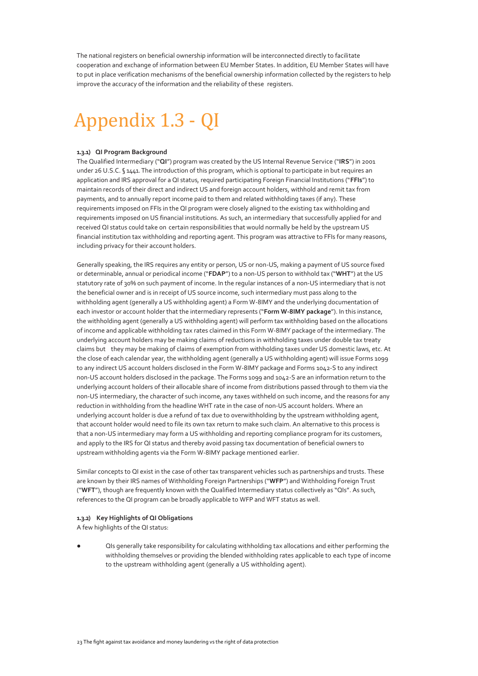The national registers on beneficial ownership information will be interconnected directly to facilitate cooperation and exchange of information between EU Member States. In addition, EU Member States will have to put in place verification mechanisms of the beneficial ownership information collected by the registers to help improve the accuracy of the information and the reliability of these registers.

## <span id="page-22-0"></span>Appendix 1.3 - QI

#### **1.3.1) QI Program Background**

The Qualified Intermediary ("**QI**") program was created by the US Internal Revenue Service ("**IRS**") in 2001 under 26 U.S.C. § 1441. The introduction of this program, which is optional to participate in but requires an application and IRS approval for a QI status, required participating Foreign Financial Institutions ("**FFIs**") to maintain records of their direct and indirect US and foreign account holders, withhold and remit tax from payments, and to annually report income paid to them and related withholding taxes (if any). These requirements imposed on FFIs in the QI program were closely aligned to the existing tax withholding and requirements imposed on US financial institutions. As such, an intermediary that successfully applied for and received QI status could take on certain responsibilities that would normally be held by the upstream US financial institution tax withholding and reporting agent. This program was attractive to FFIs for many reasons, including privacy for their account holders.

Generally speaking, the IRS requires any entity or person, US or non-US, making a payment of US source fixed or determinable, annual or periodical income ("**FDAP**") to a non-US person to withhold tax ("**WHT**") at the US statutory rate of 30% on such payment of income. In the regular instances of a non-US intermediary that is not the beneficial owner and is in receipt of US source income, such intermediary must pass along to the withholding agent (generally a US withholding agent) a Form W-8IMY and the underlying documentation of each investor or account holder that the intermediary represents ("**Form W-8IMY package**"). In this instance, the withholding agent (generally a US withholding agent) will perform tax withholding based on the allocations of income and applicable withholding tax rates claimed in this Form W-8IMY package of the intermediary. The underlying account holders may be making claims of reductions in withholding taxes under double tax treaty claims but they may be making of claims of exemption from withholding taxes under US domestic laws, etc. At the close of each calendar year, the withholding agent (generally a US withholding agent) will issue Forms 1099 to any indirect US account holders disclosed in the Form W-8IMY package and Forms 1042-S to any indirect non-US account holders disclosed in the package. The Forms 1099 and 1042-S are an information return to the underlying account holders of their allocable share of income from distributions passed through to them via the non-US intermediary, the character of such income, any taxes withheld on such income, and the reasons for any reduction in withholding from the headline WHT rate in the case of non-US account holders. Where an underlying account holder is due a refund of tax due to overwithholding by the upstream withholding agent, that account holder would need to file its own tax return to make such claim. An alternative to this process is that a non-US intermediary may form a US withholding and reporting compliance program for its customers, and apply to the IRS for QI status and thereby avoid passing tax documentation of beneficial owners to upstream withholding agents via the Form W-8IMY package mentioned earlier.

Similar concepts to QI exist in the case of other tax transparent vehicles such as partnerships and trusts. These are known by their IRS names of Withholding Foreign Partnerships ("**WFP**") and Withholding Foreign Trust ("**WFT**"), though are frequently known with the Qualified Intermediary status collectively as "QIs". As such, references to the QI program can be broadly applicable to WFP and WFT status as well.

#### **1.3.2) Key Highlights of QI Obligations**

A few highlights of the QI status:

QIs generally take responsibility for calculating withholding tax allocations and either performing the withholding themselves or providing the blended withholding rates applicable to each type of income to the upstream withholding agent (generally a US withholding agent).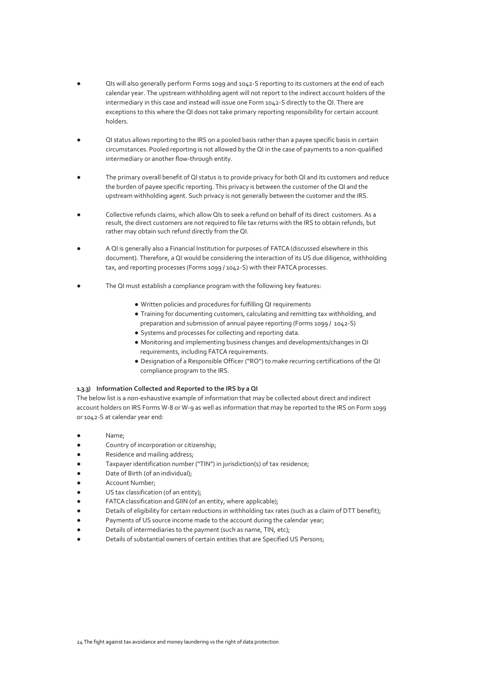- <span id="page-23-0"></span>QIs will also generally perform Forms 1099 and 1042-S reporting to its customers at the end of each calendar year. The upstream withholding agent will not report to the indirect account holders of the intermediary in this case and instead will issue one Form 1042-S directly to the QI. There are exceptions to this where the QI does not take primary reporting responsibility for certain account holders.
- QI status allows reporting to the IRS on a pooled basis rather than a payee specific basis in certain circumstances. Pooled reporting is not allowed by the QI in the case of payments to a non-qualified intermediary or another flow-through entity.
- The primary overall benefit of QI status is to provide privacy for both QI and its customers and reduce the burden of payee specific reporting. This privacy is between the customer of the QI and the upstream withholding agent. Such privacy is not generally between the customer and the IRS.
- Collective refunds claims, which allow QIs to seek a refund on behalf of its direct customers. As a result, the direct customers are not required to file tax returns with the IRS to obtain refunds, but rather may obtain such refund directly from the QI.
- A QI is generally also a Financial Institution for purposes of FATCA (discussed elsewhere in this document). Therefore, a QI would be considering the interaction of its US due diligence, withholding tax, and reporting processes (Forms 1099 / 1042-S) with their FATCA processes.
- The QI must establish a compliance program with the following key features:
	- Written policies and procedures for fulfilling QI requirements
	- Training for documenting customers, calculating and remitting tax withholding, and preparation and submission of annual payee reporting (Forms 1099 / 1042-S)
	- Systems and processes for collecting and reporting data.
	- Monitoring and implementing business changes and developments/changes in QI requirements, including FATCA requirements.
	- Designation of a Responsible Officer ("RO") to make recurring certifications of the QI compliance program to the IRS.

#### **1.3.3) Information Collected and Reported to the IRS by a QI**

The below list is a non-exhaustive example of information that may be collected about direct and indirect account holders on IRS Forms W-8 or W-9 as well as information that may be reported to the IRS on Form 1099 or 1042-S at calendar year end:

- Name;
- Country of incorporation or citizenship;
- Residence and mailing address;
- Taxpayer identification number ("TIN") in jurisdiction(s) of tax residence;
- Date of Birth (of an individual);
- Account Number;
- US tax classification (of an entity);
- FATCA classification and GIIN (of an entity, where applicable);
- Details of eligibility for certain reductions in withholding tax rates (such as a claim of DTT benefit);
- Payments of US source income made to the account during the calendar year;
- Details of intermediaries to the payment (such as name, TIN, etc);
- Details of substantial owners of certain entities that are Specified US Persons;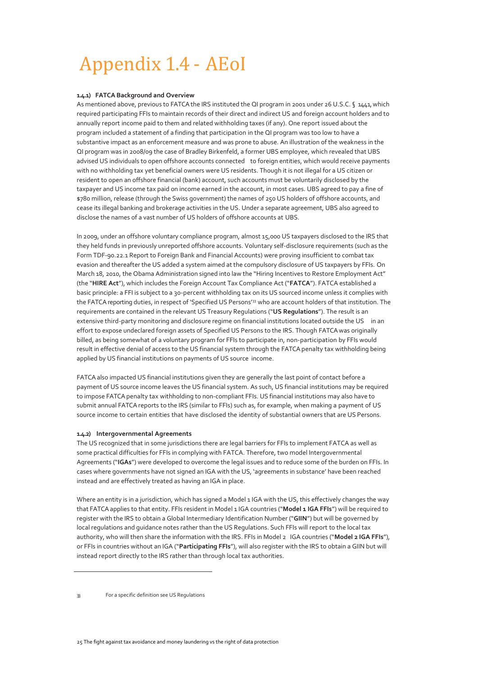## Appendix 1.4 - AEoI

#### **1.4.1) FATCA Background and Overview**

As mentioned above, previous to FATCA the IRS instituted the QI program in 2001 under 26 U.S.C. § 1441, which required participating FFIs to maintain records of their direct and indirect US and foreign account holders and to annually report income paid to them and related withholding taxes (if any). One report issued about the program included a statement of a finding that participation in the QI program was too low to have a substantive impact as an enforcement measure and was prone to abuse. An illustration of the weakness in the QI program was in 2008/09 the case of Bradley Birkenfeld, a former UBS employee, which revealed that UBS advised US individuals to open offshore accounts connected to foreign entities, which would receive payments with no withholding tax yet beneficial owners were US residents. Though it is not illegal for a US citizen or resident to open an offshore financial (bank) account, such accounts must be voluntarily disclosed by the taxpayer and US income tax paid on income earned in the account, in most cases. UBS agreed to pay a fine of \$780 million, release (through the Swiss government) the names of 250 US holders of offshore accounts, and cease its illegal banking and brokerage activities in the US. Under a separate agreement, UBS also agreed to disclose the names of a vast number of US holders of offshore accounts at UBS.

In 2009, under an offshore voluntary compliance program, almost 15,000 US taxpayers disclosed to the IRS that they held funds in previously unreported offshore accounts. Voluntary self-disclosure requirements (such as the Form TDF-90.22.1 Report to Foreign Bank and Financial Accounts) were proving insufficient to combat tax evasion and thereafter the US added a system aimed at the compulsory disclosure of US taxpayers by FFIs. On March 18, 2010, the Obama Administration signed into law the "Hiring Incentives to Restore Employment Act" (the "**HIRE Act**"), which includes the Foreign Account Tax Compliance Act ("**FATCA**"). FATCA established a basic principle: a FFI is subject to a 30-percent withholding tax on its US sourced income unless it complies with the FATCA reporting duties, in respect of 'Specified US Persons'<sup>33</sup> who are account holders of that institution. The requirements are contained in the relevant US Treasury Regulations ("**US Regulations**"). The result is an extensive third-party monitoring and disclosure regime on financial institutions located outside the US in an effort to expose undeclared foreign assets of Specified US Persons to the IRS. Though FATCA was originally billed, as being somewhat of a voluntary program for FFIs to participate in, non-participation by FFIs would result in effective denial of access to the US financial system through the FATCA penalty tax withholding being applied by US financial institutions on payments of US source income.

FATCA also impacted US financial institutions given they are generally the last point of contact before a payment of US source income leaves the US financial system. As such, US financial institutions may be required to impose FATCA penalty tax withholding to non-compliant FFIs. US financial institutions may also have to submit annual FATCA reports to the IRS (similar to FFIs) such as, for example, when making a payment of US source income to certain entities that have disclosed the identity of substantial owners that are US Persons.

#### **1.4.2) Intergovernmental Agreements**

The US recognized that in some jurisdictions there are legal barriers for FFIs to implement FATCA as well as some practical difficulties for FFIs in complying with FATCA. Therefore, two model Intergovernmental Agreements ("**IGAs**") were developed to overcome the legal issues and to reduce some of the burden on FFIs. In cases where governments have not signed an IGA with the US, 'agreements in substance' have been reached instead and are effectively treated as having an IGA in place.

Where an entity is in a jurisdiction, which has signed a Model 1 IGA with the US, this effectively changes the way that FATCA applies to that entity. FFIs resident in Model 1 IGA countries ("**Model 1 IGA FFIs**") will be required to register with the IRS to obtain a Global Intermediary Identification Number ("**GIIN**") but will be governed by local regulations and guidance notes rather than the US Regulations. Such FFIs will report to the local tax authority, who will then share the information with the IRS. FFIs in Model 2 IGA countries ("**Model 2 IGA FFIs**"), or FFIs in countries without an IGA ("**Participating FFIs**"), will also register with the IRS to obtain a GIIN but will instead report directly to the IRS rather than through local tax authorities.

<sup>33</sup> For a specific definition see US Regulations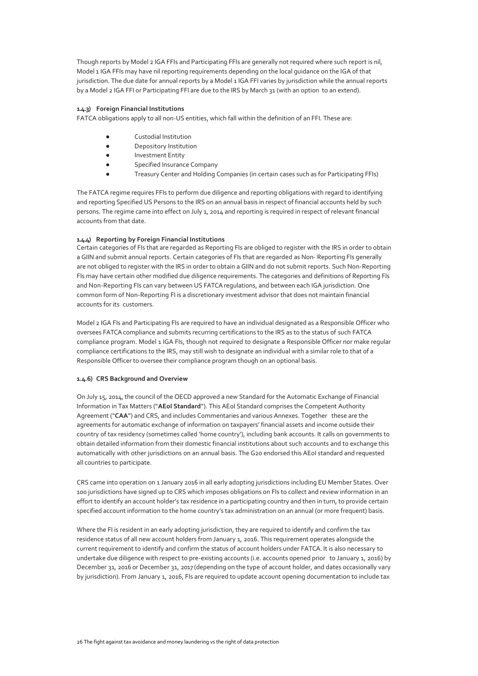Though reports by Model 2 IGA FFIs and Participating FFIs are generally not required where such report is nil, Model 1 IGA FFIs may have nil reporting requirements depending on the local guidance on the IGA of that jurisdiction. The due date for annual reports by a Model 1 IGA FFI varies by jurisdiction while the annual reports by a Model 2 IGA FFI or Participating FFI are due to the IRS by March 31 (with an option to an extend).

#### **1.4.3) Foreign Financial Institutions**

FATCA obligations apply to all non-US entities, which fall within the definition of an FFI. These are:

- Custodial Institution
- Depository Institution
- Investment Entity
- Specified Insurance Company
- Treasury Center and Holding Companies (in certain cases such as for Participating FFIs)

The FATCA regime requires FFIs to perform due diligence and reporting obligations with regard to identifying and reporting Specified US Persons to the IRS on an annual basis in respect of financial accounts held by such persons. The regime came into effect on July 1, 2014 and reporting is required in respect of relevant financial accounts from that date.

#### **1.4.4) Reporting by Foreign Financial Institutions**

Certain categories of FIs that are regarded as Reporting FIs are obliged to register with the IRS in order to obtain a GIIN and submit annual reports. Certain categories of FIs that are regarded as Non- Reporting FIs generally are not obliged to register with the IRS in order to obtain a GIIN and do not submit reports. Such Non-Reporting FIs may have certain other modified due diligence requirements. The categories and definitions of Reporting FIs and Non-Reporting FIs can vary between US FATCA regulations, and between each IGA jurisdiction. One common form of Non-Reporting FI is a discretionary investment advisor that does not maintain financial accounts for its customers.

Model 2 IGA FIs and Participating FIs are required to have an individual designated as a Responsible Officer who oversees FATCA compliance and submits recurring certifications to the IRS as to the status of such FATCA compliance program. Model 1 IGA FIs, though not required to designate a Responsible Officer nor make regular compliance certifications to the IRS, may still wish to designate an individual with a similar role to that of a Responsible Officer to oversee their compliance program though on an optional basis.

#### **1.4.6) CRS Background and Overview**

On July 15, 2014, the council of the OECD approved a new Standard for the Automatic Exchange of Financial Information in Tax Matters ("**AEoI Standard**"). This AEoI Standard comprises the Competent Authority Agreement ("**CAA**") and CRS, and includes Commentaries and various Annexes. Together these are the agreements for automatic exchange of information on taxpayers' financial assets and income outside their country of tax residency (sometimes called 'home country'), including bank accounts. It calls on governments to obtain detailed information from their domestic financial institutions about such accounts and to exchange this automatically with other jurisdictions on an annual basis. The G20 endorsed this AEoI standard and requested all countries to participate.

CRS came into operation on 1 January 2016 in all early adopting jurisdictions including EU Member States. Over 100 jurisdictions have signed up to CRS which imposes obligations on FIs to collect and review information in an effort to identify an account holder's tax residence in a participating country and then in turn, to provide certain specified account information to the home country's tax administration on an annual (or more frequent) basis.

Where the FI is resident in an early adopting jurisdiction, they are required to identify and confirm the tax residence status of all new account holders from January 1, 2016. This requirement operates alongside the current requirement to identify and confirm the status of account holders under FATCA. It is also necessary to undertake due diligence with respect to pre-existing accounts (i.e. accounts opened prior to January 1, 2016) by December 31, 2016 or December 31, 2017 (depending on the type of account holder, and dates occasionally vary by jurisdiction). From January 1, 2016, FIs are required to update account opening documentation to include tax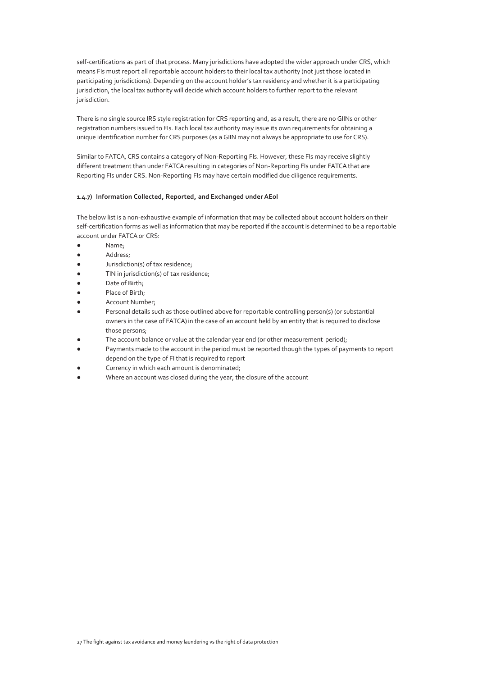self-certifications as part of that process. Many jurisdictions have adopted the wider approach under CRS, which means FIs must report all reportable account holders to their local tax authority (not just those located in participating jurisdictions). Depending on the account holder's tax residency and whether it is a participating jurisdiction, the local tax authority will decide which account holders to further report to the relevant jurisdiction.

There is no single source IRS style registration for CRS reporting and, as a result, there are no GIINs or other registration numbers issued to FIs. Each local tax authority may issue its own requirements for obtaining a unique identification number for CRS purposes (as a GIIN may not always be appropriate to use for CRS).

Similar to FATCA, CRS contains a category of Non-Reporting FIs. However, these FIs may receive slightly different treatment than under FATCA resulting in categories of Non-Reporting FIs under FATCA that are Reporting FIs under CRS. Non-Reporting FIs may have certain modified due diligence requirements.

#### **1.4.7) Information Collected, Reported, and Exchanged under AEoI**

The below list is a non-exhaustive example of information that may be collected about account holders on their self-certification forms as well as information that may be reported if the account is determined to be a reportable account under FATCA or CRS:

- Name;
- Address;
- Jurisdiction(s) of tax residence;
- TIN in jurisdiction(s) of tax residence;
- Date of Birth;
- Place of Birth;
- Account Number;
- Personal details such as those outlined above for reportable controlling person(s) (or substantial owners in the case of FATCA) in the case of an account held by an entity that is required to disclose those persons;
- The account balance or value at the calendar year end (or other measurement period);
- Payments made to the account in the period must be reported though the types of payments to report depend on the type of FI that is required to report
- Currency in which each amount is denominated;
- Where an account was closed during the year, the closure of the account